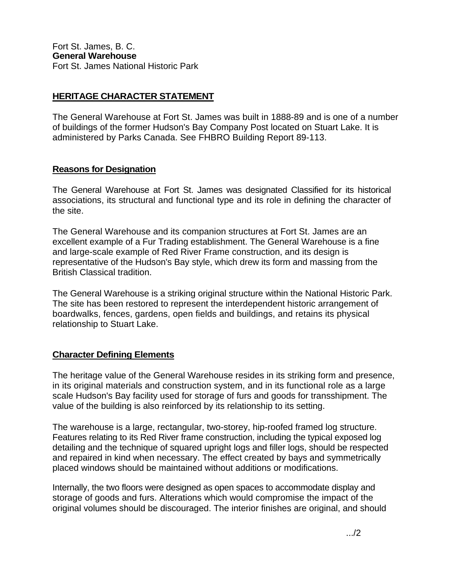## **HERITAGE CHARACTER STATEMENT**

The General Warehouse at Fort St. James was built in 1888-89 and is one of a number of buildings of the former Hudson's Bay Company Post located on Stuart Lake. It is administered by Parks Canada. See FHBRO Building Report 89-113.

## **Reasons for Designation**

The General Warehouse at Fort St. James was designated Classified for its historical associations, its structural and functional type and its role in defining the character of the site.

The General Warehouse and its companion structures at Fort St. James are an excellent example of a Fur Trading establishment. The General Warehouse is a fine and large-scale example of Red River Frame construction, and its design is representative of the Hudson's Bay style, which drew its form and massing from the British Classical tradition.

The General Warehouse is a striking original structure within the National Historic Park. The site has been restored to represent the interdependent historic arrangement of boardwalks, fences, gardens, open fields and buildings, and retains its physical relationship to Stuart Lake.

## **Character Defining Elements**

The heritage value of the General Warehouse resides in its striking form and presence, in its original materials and construction system, and in its functional role as a large scale Hudson's Bay facility used for storage of furs and goods for transshipment. The value of the building is also reinforced by its relationship to its setting.

The warehouse is a large, rectangular, two-storey, hip-roofed framed log structure. Features relating to its Red River frame construction, including the typical exposed log detailing and the technique of squared upright logs and filler logs, should be respected and repaired in kind when necessary. The effect created by bays and symmetrically placed windows should be maintained without additions or modifications.

Internally, the two floors were designed as open spaces to accommodate display and storage of goods and furs. Alterations which would compromise the impact of the original volumes should be discouraged. The interior finishes are original, and should